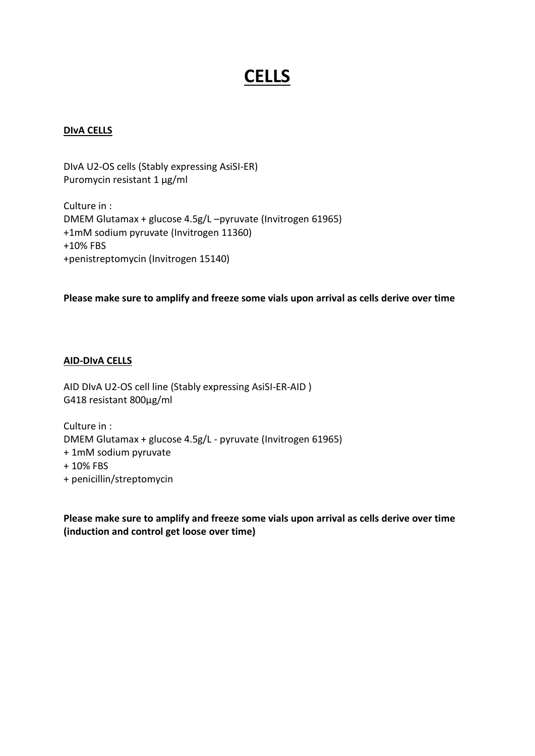# **CELLS**

## **DIvA CELLS**

DIvA U2-OS cells (Stably expressing AsiSI-ER) Puromycin resistant 1 µg/ml

Culture in : DMEM Glutamax + glucose 4.5g/L –pyruvate (Invitrogen 61965) +1mM sodium pyruvate (Invitrogen 11360) +10% FBS +penistreptomycin (Invitrogen 15140)

### **Please make sure to amplify and freeze some vials upon arrival as cells derive over time**

## **AID-DIvA CELLS**

AID DIvA U2-OS cell line (Stably expressing AsiSI-ER-AID ) G418 resistant 800µg/ml

Culture in : DMEM Glutamax + glucose 4.5g/L - pyruvate (Invitrogen 61965) + 1mM sodium pyruvate + 10% FBS

+ penicillin/streptomycin

**Please make sure to amplify and freeze some vials upon arrival as cells derive over time (induction and control get loose over time)**